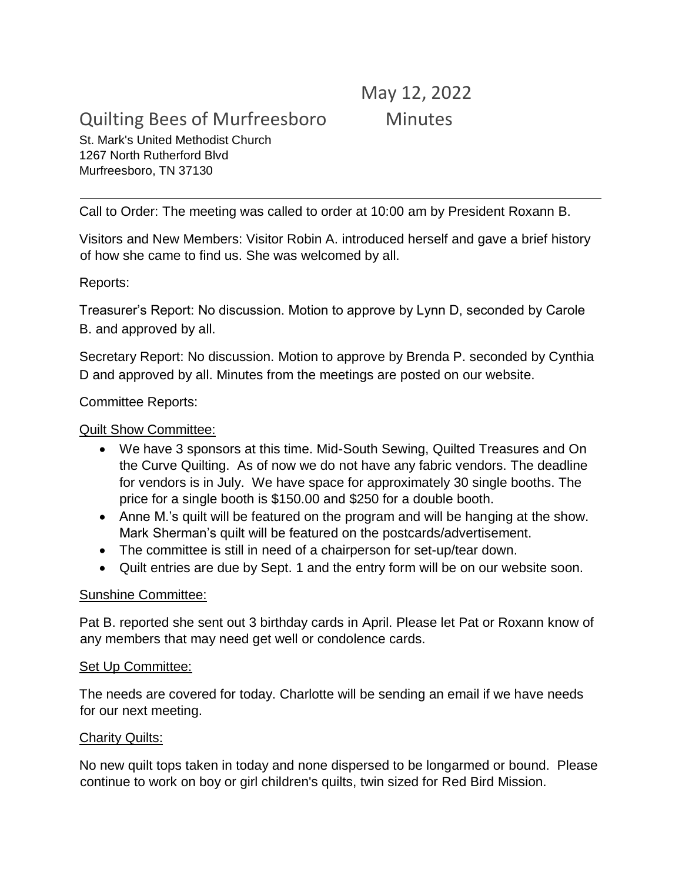# Quilting Bees of Murfreesboro Minutes

# May 12, 2022

St. Mark's United Methodist Church 1267 North Rutherford Blvd Murfreesboro, TN 37130

Call to Order: The meeting was called to order at 10:00 am by President Roxann B.

Visitors and New Members: Visitor Robin A. introduced herself and gave a brief history of how she came to find us. She was welcomed by all.

Reports:

Treasurer's Report: No discussion. Motion to approve by Lynn D, seconded by Carole B. and approved by all.

Secretary Report: No discussion. Motion to approve by Brenda P. seconded by Cynthia D and approved by all. Minutes from the meetings are posted on our website.

Committee Reports:

## Quilt Show Committee:

- We have 3 sponsors at this time. Mid-South Sewing, Quilted Treasures and On the Curve Quilting. As of now we do not have any fabric vendors. The deadline for vendors is in July. We have space for approximately 30 single booths. The price for a single booth is \$150.00 and \$250 for a double booth.
- Anne M.'s quilt will be featured on the program and will be hanging at the show. Mark Sherman's quilt will be featured on the postcards/advertisement.
- The committee is still in need of a chairperson for set-up/tear down.
- Quilt entries are due by Sept. 1 and the entry form will be on our website soon.

#### Sunshine Committee:

Pat B. reported she sent out 3 birthday cards in April. Please let Pat or Roxann know of any members that may need get well or condolence cards.

#### Set Up Committee:

The needs are covered for today. Charlotte will be sending an email if we have needs for our next meeting.

#### Charity Quilts:

No new quilt tops taken in today and none dispersed to be longarmed or bound. Please continue to work on boy or girl children's quilts, twin sized for Red Bird Mission.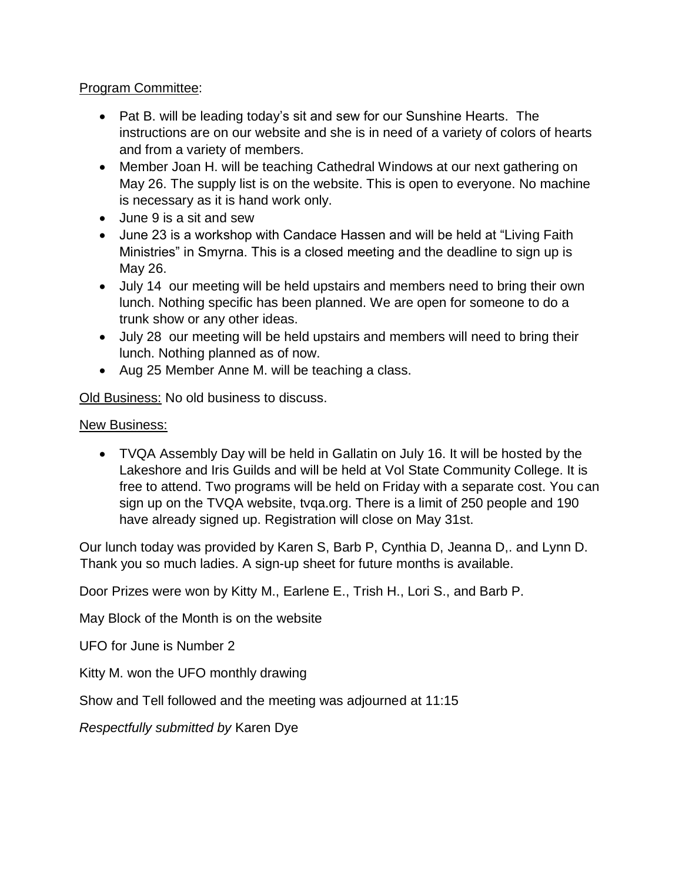## Program Committee:

- Pat B. will be leading today's sit and sew for our Sunshine Hearts. The instructions are on our website and she is in need of a variety of colors of hearts and from a variety of members.
- Member Joan H. will be teaching Cathedral Windows at our next gathering on May 26. The supply list is on the website. This is open to everyone. No machine is necessary as it is hand work only.
- June 9 is a sit and sew
- June 23 is a workshop with Candace Hassen and will be held at "Living Faith Ministries" in Smyrna. This is a closed meeting and the deadline to sign up is May 26.
- July 14 our meeting will be held upstairs and members need to bring their own lunch. Nothing specific has been planned. We are open for someone to do a trunk show or any other ideas.
- July 28 our meeting will be held upstairs and members will need to bring their lunch. Nothing planned as of now.
- Aug 25 Member Anne M. will be teaching a class.

Old Business: No old business to discuss.

# New Business:

 TVQA Assembly Day will be held in Gallatin on July 16. It will be hosted by the Lakeshore and Iris Guilds and will be held at Vol State Community College. It is free to attend. Two programs will be held on Friday with a separate cost. You can sign up on the TVQA website, tvqa.org. There is a limit of 250 people and 190 have already signed up. Registration will close on May 31st.

Our lunch today was provided by Karen S, Barb P, Cynthia D, Jeanna D,. and Lynn D. Thank you so much ladies. A sign-up sheet for future months is available.

Door Prizes were won by Kitty M., Earlene E., Trish H., Lori S., and Barb P.

May Block of the Month is on the website

UFO for June is Number 2

Kitty M. won the UFO monthly drawing

Show and Tell followed and the meeting was adjourned at 11:15

*Respectfully submitted by* Karen Dye